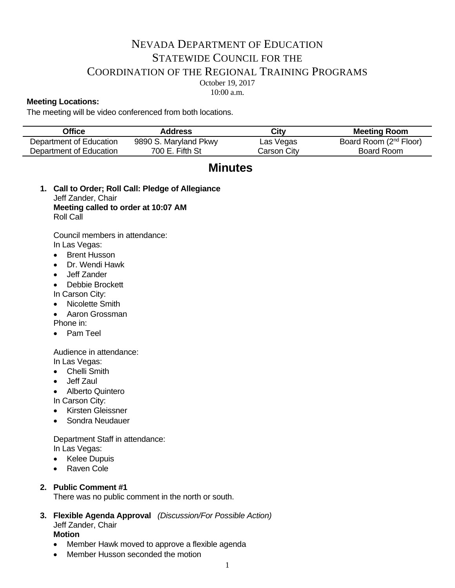# NEVADA DEPARTMENT OF EDUCATION STATEWIDE COUNCIL FOR THE COORDINATION OF THE REGIONAL TRAINING PROGRAMS

October 19, 2017 10:00 a.m.

### **Meeting Locations:**

The meeting will be video conferenced from both locations.

| Office                  | Address               | City        | <b>Meeting Room</b>                |
|-------------------------|-----------------------|-------------|------------------------------------|
| Department of Education | 9890 S. Maryland Pkwy | Las Vegas   | Board Room (2 <sup>nd</sup> Floor) |
| Department of Education | 700 E. Fifth St       | Carson Citv | Board Room                         |

## **Minutes**

**1. Call to Order; Roll Call: Pledge of Allegiance** Jeff Zander, Chair **Meeting called to order at 10:07 AM** Roll Call

Council members in attendance: In Las Vegas:

- Brent Husson
- Dr. Wendi Hawk
- Jeff Zander
- Debbie Brockett

In Carson City:

- Nicolette Smith
- Aaron Grossman Phone in:
- Pam Teel

Audience in attendance:

In Las Vegas:

- Chelli Smith
- Jeff Zaul
- Alberto Quintero
- In Carson City:
- Kirsten Gleissner
- Sondra Neudauer

Department Staff in attendance: In Las Vegas:

- Kelee Dupuis
- Raven Cole

### **2. Public Comment #1**

There was no public comment in the north or south.

- **3. Flexible Agenda Approval** *(Discussion/For Possible Action)* Jeff Zander, Chair
	- **Motion**
	- Member Hawk moved to approve a flexible agenda
	- Member Husson seconded the motion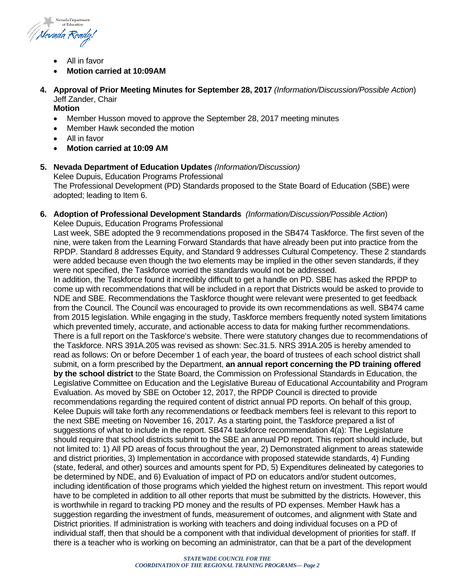

- All in favor
- **Motion carried at 10:09AM**
- **4. Approval of Prior Meeting Minutes for September 28, 2017** *(Information/Discussion/Possible Action*) Jeff Zander, Chair

### **Motion**

- Member Husson moved to approve the September 28, 2017 meeting minutes
- Member Hawk seconded the motion
- All in favor
- **Motion carried at 10:09 AM**
- **5. Nevada Department of Education Updates** *(Information/Discussion)*

Kelee Dupuis, Education Programs Professional The Professional Development (PD) Standards proposed to the State Board of Education (SBE) were adopted; leading to Item 6.

**6. Adoption of Professional Development Standards** *(Information/Discussion/Possible Action*)

Kelee Dupuis, Education Programs Professional

Last week, SBE adopted the 9 recommendations proposed in the SB474 Taskforce. The first seven of the nine, were taken from the Learning Forward Standards that have already been put into practice from the RPDP. Standard 8 addresses Equity, and Standard 9 addresses Cultural Competency. These 2 standards were added because even though the two elements may be implied in the other seven standards, if they were not specified, the Taskforce worried the standards would not be addressed.

In addition, the Taskforce found it incredibly difficult to get a handle on PD. SBE has asked the RPDP to come up with recommendations that will be included in a report that Districts would be asked to provide to NDE and SBE. Recommendations the Taskforce thought were relevant were presented to get feedback from the Council. The Council was encouraged to provide its own recommendations as well. SB474 came from 2015 legislation. While engaging in the study, Taskforce members frequently noted system limitations which prevented timely, accurate, and actionable access to data for making further recommendations. There is a full report on the Taskforce's website. There were statutory changes due to recommendations of the Taskforce. NRS 391A.205 was revised as shown: Sec.31.5. NRS 391A.205 is hereby amended to read as follows: On or before December 1 of each year, the board of trustees of each school district shall submit, on a form prescribed by the Department, **an annual report concerning the PD training offered by the school district** to the State Board, the Commission on Professional Standards in Education, the Legislative Committee on Education and the Legislative Bureau of Educational Accountability and Program Evaluation. As moved by SBE on October 12, 2017, the RPDP Council is directed to provide recommendations regarding the required content of district annual PD reports. On behalf of this group, Kelee Dupuis will take forth any recommendations or feedback members feel is relevant to this report to the next SBE meeting on November 16, 2017. As a starting point, the Taskforce prepared a list of suggestions of what to include in the report. SB474 taskforce recommendation 4(a): The Legislature should require that school districts submit to the SBE an annual PD report. This report should include, but not limited to: 1) All PD areas of focus throughout the year, 2) Demonstrated alignment to areas statewide and district priorities, 3) Implementation in accordance with proposed statewide standards, 4) Funding (state, federal, and other) sources and amounts spent for PD, 5) Expenditures delineated by categories to be determined by NDE, and 6) Evaluation of impact of PD on educators and/or student outcomes, including identification of those programs which yielded the highest return on investment. This report would have to be completed in addition to all other reports that must be submitted by the districts. However, this is worthwhile in regard to tracking PD money and the results of PD expenses. Member Hawk has a suggestion regarding the investment of funds, measurement of outcomes, and alignment with State and District priorities. If administration is working with teachers and doing individual focuses on a PD of individual staff, then that should be a component with that individual development of priorities for staff. If there is a teacher who is working on becoming an administrator, can that be a part of the development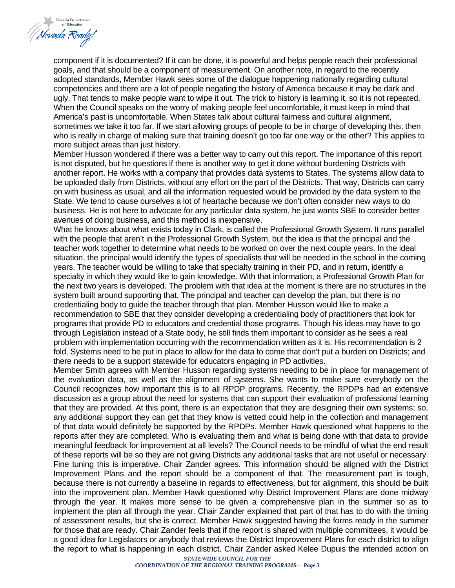Nevada Department of Education .<br>Nevada Ready.

component if it is documented? If it can be done, it is powerful and helps people reach their professional goals, and that should be a component of measurement. On another note, in regard to the recently adopted standards, Member Hawk sees some of the dialogue happening nationally regarding cultural competencies and there are a lot of people negating the history of America because it may be dark and ugly. That tends to make people want to wipe it out. The trick to history is learning it, so it is not repeated. When the Council speaks on the worry of making people feel uncomfortable, it must keep in mind that America's past is uncomfortable. When States talk about cultural fairness and cultural alignment, sometimes we take it too far. If we start allowing groups of people to be in charge of developing this, then who is really in charge of making sure that training doesn't go too far one way or the other? This applies to more subject areas than just history.

Member Husson wondered if there was a better way to carry out this report. The importance of this report is not disputed, but he questions if there is another way to get it done without burdening Districts with another report. He works with a company that provides data systems to States. The systems allow data to be uploaded daily from Districts, without any effort on the part of the Districts. That way, Districts can carry on with business as usual, and all the information requested would be provided by the data system to the State. We tend to cause ourselves a lot of heartache because we don't often consider new ways to do business. He is not here to advocate for any particular data system, he just wants SBE to consider better avenues of doing business, and this method is inexpensive.

What he knows about what exists today in Clark, is called the Professional Growth System. It runs parallel with the people that aren't in the Professional Growth System, but the idea is that the principal and the teacher work together to determine what needs to be worked on over the next couple years. In the ideal situation, the principal would identify the types of specialists that will be needed in the school in the coming years. The teacher would be willing to take that specialty training in their PD, and in return, identify a specialty in which they would like to gain knowledge. With that information, a Professional Growth Plan for the next two years is developed. The problem with that idea at the moment is there are no structures in the system built around supporting that. The principal and teacher can develop the plan, but there is no credentialing body to guide the teacher through that plan. Member Husson would like to make a recommendation to SBE that they consider developing a credentialing body of practitioners that look for programs that provide PD to educators and credential those programs. Though his ideas may have to go through Legislation instead of a State body, he still finds them important to consider as he sees a real problem with implementation occurring with the recommendation written as it is. His recommendation is 2 fold. Systems need to be put in place to allow for the data to come that don't put a burden on Districts; and there needs to be a support statewide for educators engaging in PD activities.

Member Smith agrees with Member Husson regarding systems needing to be in place for management of the evaluation data, as well as the alignment of systems. She wants to make sure everybody on the Council recognizes how important this is to all RPDP programs. Recently, the RPDPs had an extensive discussion as a group about the need for systems that can support their evaluation of professional learning that they are provided. At this point, there is an expectation that they are designing their own systems; so, any additional support they can get that they know is vetted could help in the collection and management of that data would definitely be supported by the RPDPs. Member Hawk questioned what happens to the reports after they are completed. Who is evaluating them and what is being done with that data to provide meaningful feedback for improvement at all levels? The Council needs to be mindful of what the end result of these reports will be so they are not giving Districts any additional tasks that are not useful or necessary. Fine tuning this is imperative. Chair Zander agrees. This information should be aligned with the District Improvement Plans and the report should be a component of that. The measurement part is tough, because there is not currently a baseline in regards to effectiveness, but for alignment, this should be built into the improvement plan. Member Hawk questioned why District Improvement Plans are done midway through the year. It makes more sense to be given a comprehensive plan in the summer so as to implement the plan all through the year. Chair Zander explained that part of that has to do with the timing of assessment results, but she is correct. Member Hawk suggested having the forms ready in the summer for those that are ready. Chair Zander feels that if the report is shared with multiple committees, it would be a good idea for Legislators or anybody that reviews the District Improvement Plans for each district to align the report to what is happening in each district. Chair Zander asked Kelee Dupuis the intended action on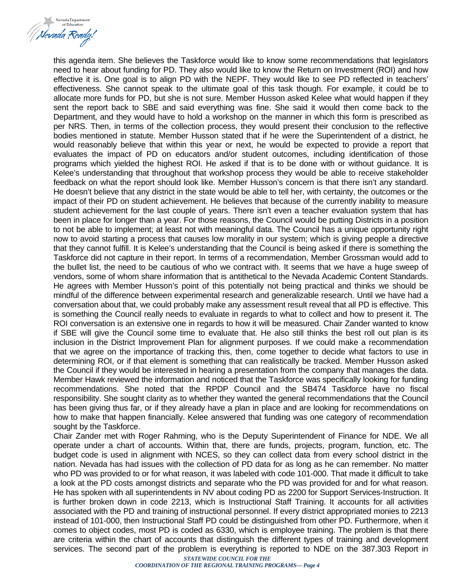of Education .<br>Nevada Ready

this agenda item. She believes the Taskforce would like to know some recommendations that legislators need to hear about funding for PD. They also would like to know the Return on Investment (ROI) and how effective it is. One goal is to align PD with the NEPF. They would like to see PD reflected in teachers' effectiveness. She cannot speak to the ultimate goal of this task though. For example, it could be to allocate more funds for PD, but she is not sure. Member Husson asked Kelee what would happen if they sent the report back to SBE and said everything was fine. She said it would then come back to the Department, and they would have to hold a workshop on the manner in which this form is prescribed as per NRS. Then, in terms of the collection process, they would present their conclusion to the reflective bodies mentioned in statute. Member Husson stated that if he were the Superintendent of a district, he would reasonably believe that within this year or next, he would be expected to provide a report that evaluates the impact of PD on educators and/or student outcomes, including identification of those programs which yielded the highest ROI. He asked if that is to be done with or without guidance. It is Kelee's understanding that throughout that workshop process they would be able to receive stakeholder feedback on what the report should look like. Member Husson's concern is that there isn't any standard. He doesn't believe that any district in the state would be able to tell her, with certainty, the outcomes or the impact of their PD on student achievement. He believes that because of the currently inability to measure student achievement for the last couple of years. There isn't even a teacher evaluation system that has been in place for longer than a year. For those reasons, the Council would be putting Districts in a position to not be able to implement; at least not with meaningful data. The Council has a unique opportunity right now to avoid starting a process that causes low morality in our system; which is giving people a directive that they cannot fulfill. It is Kelee's understanding that the Council is being asked if there is something the Taskforce did not capture in their report. In terms of a recommendation, Member Grossman would add to the bullet list, the need to be cautious of who we contract with. It seems that we have a huge sweep of vendors, some of whom share information that is antithetical to the Nevada Academic Content Standards. He agrees with Member Husson's point of this potentially not being practical and thinks we should be mindful of the difference between experimental research and generalizable research. Until we have had a conversation about that, we could probably make any assessment result reveal that all PD is effective. This is something the Council really needs to evaluate in regards to what to collect and how to present it. The ROI conversation is an extensive one in regards to how it will be measured. Chair Zander wanted to know if SBE will give the Council some time to evaluate that. He also still thinks the best roll out plan is its inclusion in the District Improvement Plan for alignment purposes. If we could make a recommendation that we agree on the importance of tracking this, then, come together to decide what factors to use in determining ROI, or if that element is something that can realistically be tracked. Member Husson asked the Council if they would be interested in hearing a presentation from the company that manages the data. Member Hawk reviewed the information and noticed that the Taskforce was specifically looking for funding recommendations. She noted that the RPDP Council and the SB474 Taskforce have no fiscal responsibility. She sought clarity as to whether they wanted the general recommendations that the Council has been giving thus far, or if they already have a plan in place and are looking for recommendations on how to make that happen financially. Kelee answered that funding was one category of recommendation sought by the Taskforce.

Chair Zander met with Roger Rahming, who is the Deputy Superintendent of Finance for NDE. We all operate under a chart of accounts. Within that, there are funds, projects, program, function, etc. The budget code is used in alignment with NCES, so they can collect data from every school district in the nation. Nevada has had issues with the collection of PD data for as long as he can remember. No matter who PD was provided to or for what reason, it was labeled with code 101-000. That made it difficult to take a look at the PD costs amongst districts and separate who the PD was provided for and for what reason. He has spoken with all superintendents in NV about coding PD as 2200 for Support Services-Instruction. It is further broken down in code 2213, which is Instructional Staff Training. It accounts for all activities associated with the PD and training of instructional personnel. If every district appropriated monies to 2213 instead of 101-000, then Instructional Staff PD could be distinguished from other PD. Furthermore, when it comes to object codes, most PD is coded as 6330, which is employee training. The problem is that there are criteria within the chart of accounts that distinguish the different types of training and development services. The second part of the problem is everything is reported to NDE on the 387.303 Report in